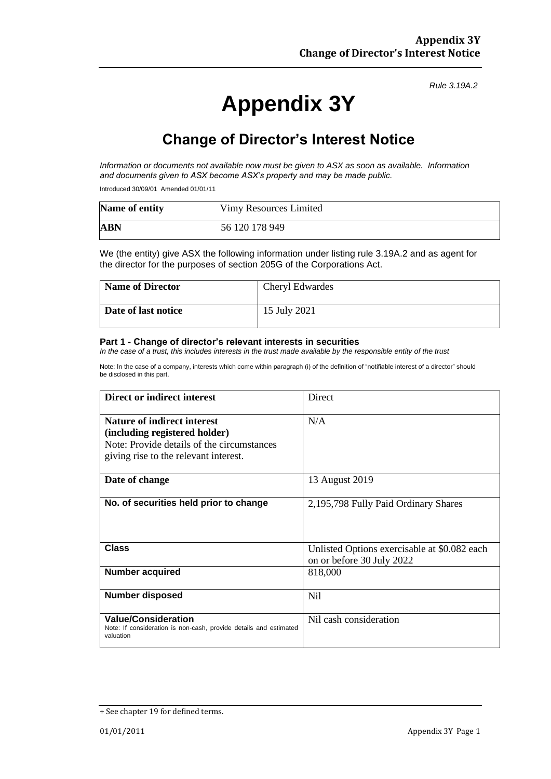*Rule 3.19A.2*

# **Appendix 3Y**

## **Change of Director's Interest Notice**

*Information or documents not available now must be given to ASX as soon as available. Information and documents given to ASX become ASX's property and may be made public.*

Introduced 30/09/01 Amended 01/01/11

| Name of entity | Vimy Resources Limited |
|----------------|------------------------|
| <b>ABN</b>     | 56 120 178 949         |

We (the entity) give ASX the following information under listing rule 3.19A.2 and as agent for the director for the purposes of section 205G of the Corporations Act.

| <b>Name of Director</b> | <b>Cheryl Edwardes</b> |
|-------------------------|------------------------|
| Date of last notice     | 15 July 2021           |

#### **Part 1 - Change of director's relevant interests in securities**

*In the case of a trust, this includes interests in the trust made available by the responsible entity of the trust*

Note: In the case of a company, interests which come within paragraph (i) of the definition of "notifiable interest of a director" should be disclosed in this part.

| Direct or indirect interest                                                                                                                                | Direct                                                                    |
|------------------------------------------------------------------------------------------------------------------------------------------------------------|---------------------------------------------------------------------------|
| <b>Nature of indirect interest</b><br>(including registered holder)<br>Note: Provide details of the circumstances<br>giving rise to the relevant interest. | N/A                                                                       |
| Date of change                                                                                                                                             | 13 August 2019                                                            |
| No. of securities held prior to change                                                                                                                     | 2,195,798 Fully Paid Ordinary Shares                                      |
| <b>Class</b>                                                                                                                                               | Unlisted Options exercisable at \$0.082 each<br>on or before 30 July 2022 |
| <b>Number acquired</b>                                                                                                                                     | 818,000                                                                   |
| <b>Number disposed</b>                                                                                                                                     | N <sub>il</sub>                                                           |
| <b>Value/Consideration</b><br>Note: If consideration is non-cash, provide details and estimated<br>valuation                                               | Nil cash consideration                                                    |

<sup>+</sup> See chapter 19 for defined terms.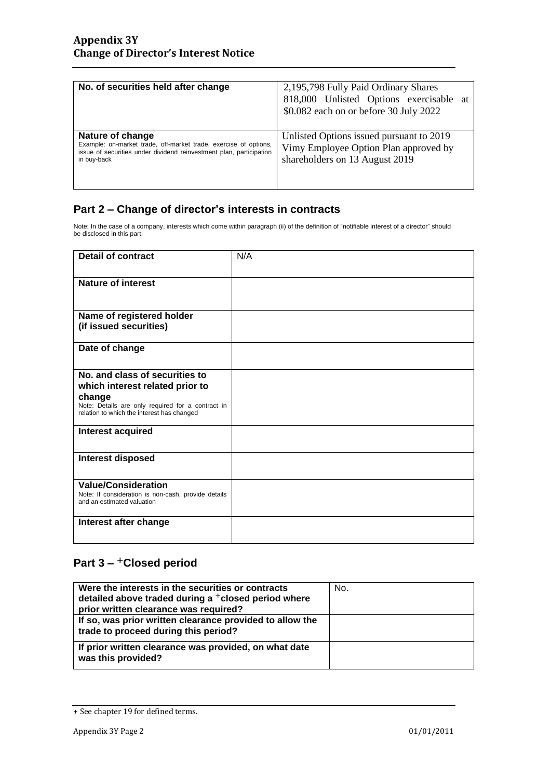| No. of securities held after change                                                                                                                                        | 2,195,798 Fully Paid Ordinary Shares<br>818,000 Unlisted Options exercisable at<br>\$0.082 each on or before 30 July 2022 |
|----------------------------------------------------------------------------------------------------------------------------------------------------------------------------|---------------------------------------------------------------------------------------------------------------------------|
| Nature of change<br>Example: on-market trade, off-market trade, exercise of options,<br>issue of securities under dividend reinvestment plan, participation<br>in buy-back | Unlisted Options issued pursuant to 2019<br>Vimy Employee Option Plan approved by<br>shareholders on 13 August 2019       |

#### **Part 2 – Change of director's interests in contracts**

Note: In the case of a company, interests which come within paragraph (ii) of the definition of "notifiable interest of a director" should be disclosed in this part.

| <b>Detail of contract</b>                                                                       | N/A |
|-------------------------------------------------------------------------------------------------|-----|
| <b>Nature of interest</b>                                                                       |     |
|                                                                                                 |     |
|                                                                                                 |     |
| Name of registered holder<br>(if issued securities)                                             |     |
|                                                                                                 |     |
| Date of change                                                                                  |     |
| No. and class of securities to                                                                  |     |
| which interest related prior to                                                                 |     |
| change                                                                                          |     |
| Note: Details are only required for a contract in<br>relation to which the interest has changed |     |
| Interest acquired                                                                               |     |
|                                                                                                 |     |
| <b>Interest disposed</b>                                                                        |     |
|                                                                                                 |     |
| <b>Value/Consideration</b>                                                                      |     |
| Note: If consideration is non-cash, provide details<br>and an estimated valuation               |     |
| Interest after change                                                                           |     |
|                                                                                                 |     |

#### **Part 3 –** +**Closed period**

| Were the interests in the securities or contracts<br>detailed above traded during a <sup>+</sup> closed period where<br>prior written clearance was required? | No. |
|---------------------------------------------------------------------------------------------------------------------------------------------------------------|-----|
| If so, was prior written clearance provided to allow the<br>trade to proceed during this period?                                                              |     |
| If prior written clearance was provided, on what date<br>was this provided?                                                                                   |     |

<sup>+</sup> See chapter 19 for defined terms.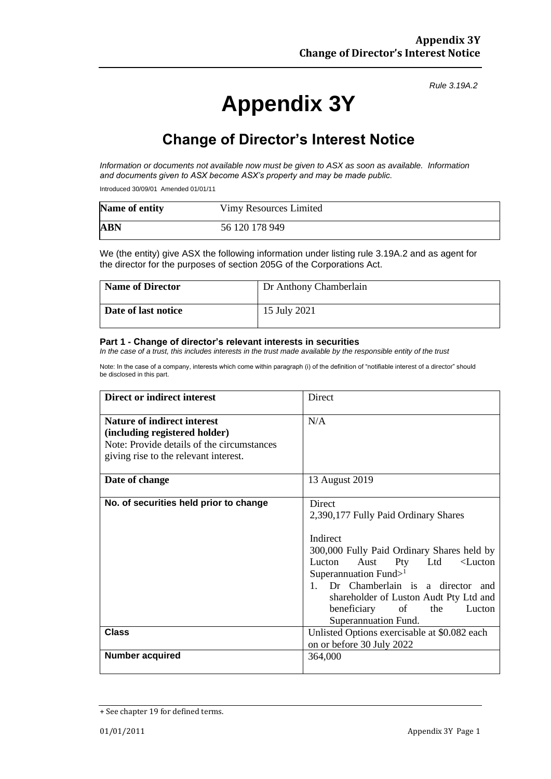*Rule 3.19A.2*

# **Appendix 3Y**

## **Change of Director's Interest Notice**

*Information or documents not available now must be given to ASX as soon as available. Information and documents given to ASX become ASX's property and may be made public.*

Introduced 30/09/01 Amended 01/01/11

| Name of entity | Vimy Resources Limited |
|----------------|------------------------|
| <b>ABN</b>     | 56 120 178 949         |

We (the entity) give ASX the following information under listing rule 3.19A.2 and as agent for the director for the purposes of section 205G of the Corporations Act.

| <b>Name of Director</b> | Dr Anthony Chamberlain |
|-------------------------|------------------------|
| Date of last notice     | 15 July 2021           |

#### **Part 1 - Change of director's relevant interests in securities**

*In the case of a trust, this includes interests in the trust made available by the responsible entity of the trust*

Note: In the case of a company, interests which come within paragraph (i) of the definition of "notifiable interest of a director" should be disclosed in this part.

| <b>Direct or indirect interest</b>                                                                                                                         | Direct                                                                                                                                                                                                                                                                                                                                       |
|------------------------------------------------------------------------------------------------------------------------------------------------------------|----------------------------------------------------------------------------------------------------------------------------------------------------------------------------------------------------------------------------------------------------------------------------------------------------------------------------------------------|
| <b>Nature of indirect interest</b><br>(including registered holder)<br>Note: Provide details of the circumstances<br>giving rise to the relevant interest. | N/A                                                                                                                                                                                                                                                                                                                                          |
| Date of change                                                                                                                                             | 13 August 2019                                                                                                                                                                                                                                                                                                                               |
| No. of securities held prior to change                                                                                                                     | Direct<br>2,390,177 Fully Paid Ordinary Shares<br>Indirect<br>300,000 Fully Paid Ordinary Shares held by<br>Lucton<br>Aust<br>Pty<br>Ltd<br>$<$ Lucton<br>Superannuation Fund $>1$<br>Dr Chamberlain is a director and<br>1.<br>shareholder of Luston Audt Pty Ltd and<br>beneficiary<br>$\circ$ of<br>Lucton<br>the<br>Superannuation Fund. |
| <b>Class</b>                                                                                                                                               | Unlisted Options exercisable at \$0.082 each<br>on or before 30 July 2022                                                                                                                                                                                                                                                                    |
| <b>Number acquired</b>                                                                                                                                     | 364,000                                                                                                                                                                                                                                                                                                                                      |

<sup>+</sup> See chapter 19 for defined terms.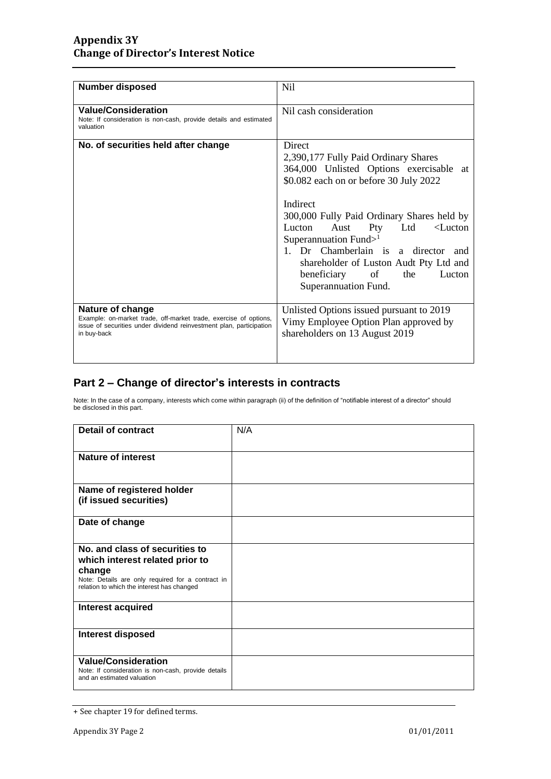| <b>Number disposed</b>                                                                                                                                                     | Nil                                                                                                                                                                                                                                                                                                                                                                                                                     |
|----------------------------------------------------------------------------------------------------------------------------------------------------------------------------|-------------------------------------------------------------------------------------------------------------------------------------------------------------------------------------------------------------------------------------------------------------------------------------------------------------------------------------------------------------------------------------------------------------------------|
| <b>Value/Consideration</b><br>Note: If consideration is non-cash, provide details and estimated<br>valuation                                                               | Nil cash consideration                                                                                                                                                                                                                                                                                                                                                                                                  |
| No. of securities held after change                                                                                                                                        | <b>Direct</b><br>2,390,177 Fully Paid Ordinary Shares<br>364,000 Unlisted Options exercisable at<br>\$0.082 each on or before 30 July 2022<br>Indirect<br>300,000 Fully Paid Ordinary Shares held by<br>Aust Pty Ltd<br>Lucton<br>$\leq$ Lucton<br>Superannuation Fund $>1$<br>1. Dr Chamberlain is a director and<br>shareholder of Luston Audt Pty Ltd and<br>beneficiary of<br>the<br>Lucton<br>Superannuation Fund. |
| Nature of change<br>Example: on-market trade, off-market trade, exercise of options,<br>issue of securities under dividend reinvestment plan, participation<br>in buy-back | Unlisted Options issued pursuant to 2019<br>Vimy Employee Option Plan approved by<br>shareholders on 13 August 2019                                                                                                                                                                                                                                                                                                     |

### **Part 2 – Change of director's interests in contracts**

Note: In the case of a company, interests which come within paragraph (ii) of the definition of "notifiable interest of a director" should be disclosed in this part.

| <b>Detail of contract</b>                                                                                       | N/A |
|-----------------------------------------------------------------------------------------------------------------|-----|
| <b>Nature of interest</b>                                                                                       |     |
| Name of registered holder<br>(if issued securities)                                                             |     |
| Date of change                                                                                                  |     |
| No. and class of securities to<br>which interest related prior to                                               |     |
| change<br>Note: Details are only required for a contract in<br>relation to which the interest has changed       |     |
| Interest acquired                                                                                               |     |
| <b>Interest disposed</b>                                                                                        |     |
| <b>Value/Consideration</b><br>Note: If consideration is non-cash, provide details<br>and an estimated valuation |     |

<sup>+</sup> See chapter 19 for defined terms.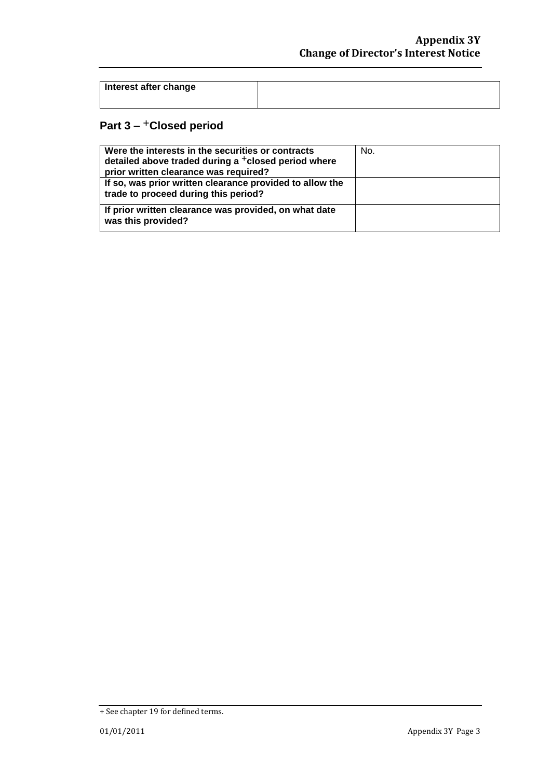| Interest after change |  |
|-----------------------|--|
|                       |  |

### **Part 3 –** +**Closed period**

| Were the interests in the securities or contracts<br>detailed above traded during a <sup>+</sup> closed period where<br>prior written clearance was required? | No. |
|---------------------------------------------------------------------------------------------------------------------------------------------------------------|-----|
| If so, was prior written clearance provided to allow the<br>trade to proceed during this period?                                                              |     |
| If prior written clearance was provided, on what date<br>was this provided?                                                                                   |     |

<sup>+</sup> See chapter 19 for defined terms.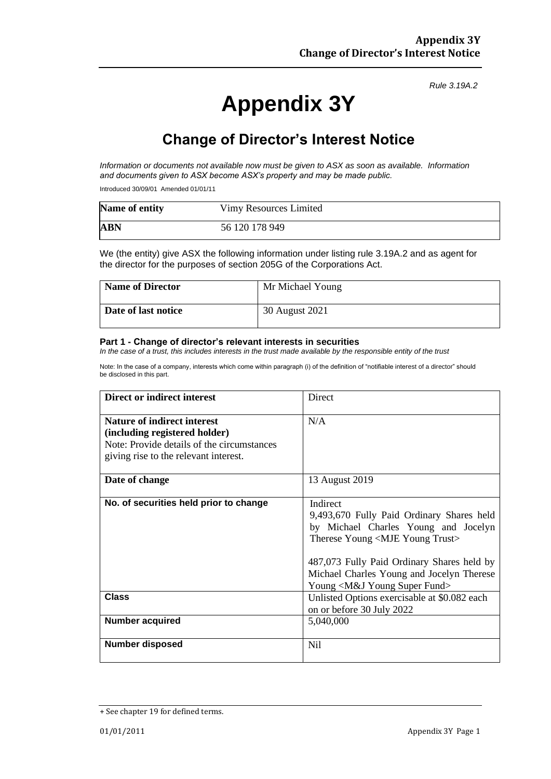*Rule 3.19A.2*

# **Appendix 3Y**

## **Change of Director's Interest Notice**

*Information or documents not available now must be given to ASX as soon as available. Information and documents given to ASX become ASX's property and may be made public.*

Introduced 30/09/01 Amended 01/01/11

| Name of entity | Vimy Resources Limited |
|----------------|------------------------|
| <b>ABN</b>     | 56 120 178 949         |

We (the entity) give ASX the following information under listing rule 3.19A.2 and as agent for the director for the purposes of section 205G of the Corporations Act.

| Name of Director    | Mr Michael Young |
|---------------------|------------------|
| Date of last notice | 30 August 2021   |

#### **Part 1 - Change of director's relevant interests in securities**

*In the case of a trust, this includes interests in the trust made available by the responsible entity of the trust*

Note: In the case of a company, interests which come within paragraph (i) of the definition of "notifiable interest of a director" should be disclosed in this part.

| <b>Direct or indirect interest</b>                                                                                                                  | Direct                                                                                                                                                                                                                                                                                    |
|-----------------------------------------------------------------------------------------------------------------------------------------------------|-------------------------------------------------------------------------------------------------------------------------------------------------------------------------------------------------------------------------------------------------------------------------------------------|
| Nature of indirect interest<br>(including registered holder)<br>Note: Provide details of the circumstances<br>giving rise to the relevant interest. | N/A                                                                                                                                                                                                                                                                                       |
| Date of change                                                                                                                                      | 13 August 2019                                                                                                                                                                                                                                                                            |
| No. of securities held prior to change                                                                                                              | Indirect<br>9,493,670 Fully Paid Ordinary Shares held<br>by Michael Charles Young and Jocelyn<br>Therese Young <mje trust="" young=""><br/>487,073 Fully Paid Ordinary Shares held by<br/>Michael Charles Young and Jocelyn Therese<br/>Young <m&j fund="" super="" young=""></m&j></mje> |
| <b>Class</b>                                                                                                                                        | Unlisted Options exercisable at \$0.082 each<br>on or before 30 July 2022                                                                                                                                                                                                                 |
| <b>Number acquired</b>                                                                                                                              | 5,040,000                                                                                                                                                                                                                                                                                 |
| <b>Number disposed</b>                                                                                                                              | Nil                                                                                                                                                                                                                                                                                       |

<sup>+</sup> See chapter 19 for defined terms.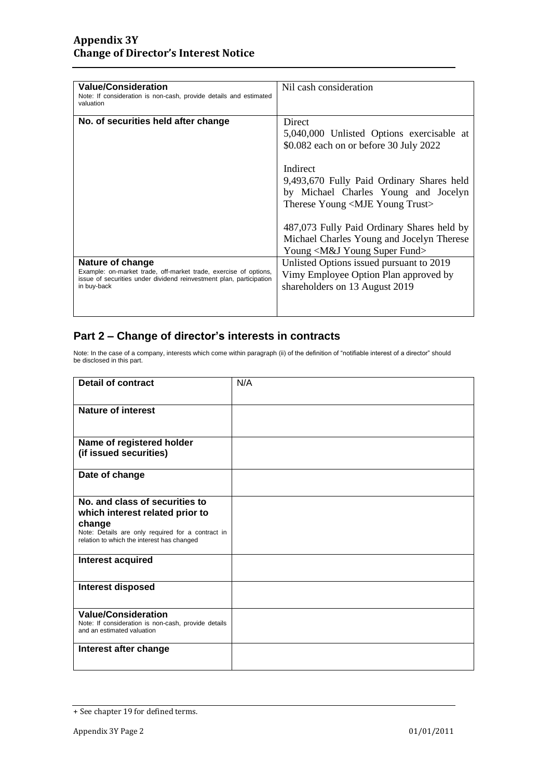| <b>Value/Consideration</b><br>Note: If consideration is non-cash, provide details and estimated<br>valuation                                                               | Nil cash consideration                                                                                                                                                                                                           |
|----------------------------------------------------------------------------------------------------------------------------------------------------------------------------|----------------------------------------------------------------------------------------------------------------------------------------------------------------------------------------------------------------------------------|
| No. of securities held after change                                                                                                                                        | Direct<br>5,040,000 Unlisted Options exercisable at<br>\$0.082 each on or before 30 July 2022<br>Indirect<br>9,493,670 Fully Paid Ordinary Shares held                                                                           |
|                                                                                                                                                                            | by Michael Charles Young and Jocelyn<br>Therese Young <mje trust="" young=""><br/>487,073 Fully Paid Ordinary Shares held by<br/>Michael Charles Young and Jocelyn Therese<br/>Young <m&j fund="" super="" young=""></m&j></mje> |
| Nature of change<br>Example: on-market trade, off-market trade, exercise of options,<br>issue of securities under dividend reinvestment plan, participation<br>in buy-back | Unlisted Options issued pursuant to 2019<br>Vimy Employee Option Plan approved by<br>shareholders on 13 August 2019                                                                                                              |

#### **Part 2 – Change of director's interests in contracts**

Note: In the case of a company, interests which come within paragraph (ii) of the definition of "notifiable interest of a director" should be disclosed in this part.

| <b>Detail of contract</b>                                                         | N/A |
|-----------------------------------------------------------------------------------|-----|
|                                                                                   |     |
| Nature of interest                                                                |     |
|                                                                                   |     |
| Name of registered holder                                                         |     |
| (if issued securities)                                                            |     |
| Date of change                                                                    |     |
|                                                                                   |     |
| No. and class of securities to<br>which interest related prior to                 |     |
| change<br>Note: Details are only required for a contract in                       |     |
| relation to which the interest has changed                                        |     |
| Interest acquired                                                                 |     |
|                                                                                   |     |
| <b>Interest disposed</b>                                                          |     |
| <b>Value/Consideration</b>                                                        |     |
| Note: If consideration is non-cash, provide details<br>and an estimated valuation |     |
| Interest after change                                                             |     |
|                                                                                   |     |

<sup>+</sup> See chapter 19 for defined terms.